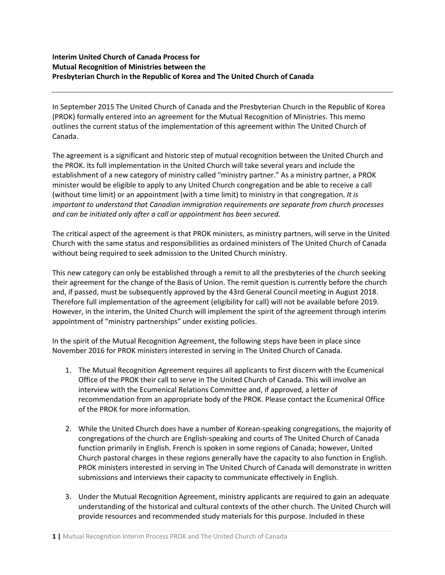## **Interim United Church of Canada Process for Mutual Recognition of Ministries between the Presbyterian Church in the Republic of Korea and The United Church of Canada**

In September 2015 The United Church of Canada and the Presbyterian Church in the Republic of Korea (PROK) formally entered into an agreement for the Mutual Recognition of Ministries. This memo outlines the current status of the implementation of this agreement within The United Church of Canada.

The agreement is a significant and historic step of mutual recognition between the United Church and the PROK. Its full implementation in the United Church will take several years and include the establishment of a new category of ministry called "ministry partner." As a ministry partner, a PROK minister would be eligible to apply to any United Church congregation and be able to receive a call (without time limit) or an appointment (with a time limit) to ministry in that congregation. *It is important to understand that Canadian immigration requirements are separate from church processes and can be initiated only after a call or appointment has been secured.*

The critical aspect of the agreement is that PROK ministers, as ministry partners, will serve in the United Church with the same status and responsibilities as ordained ministers of The United Church of Canada without being required to seek admission to the United Church ministry.

This new category can only be established through a remit to all the presbyteries of the church seeking their agreement for the change of the Basis of Union. The remit question is currently before the church and, if passed, must be subsequently approved by the 43rd General Council meeting in August 2018. Therefore full implementation of the agreement (eligibility for call) will not be available before 2019. However, in the interim, the United Church will implement the spirit of the agreement through interim appointment of "ministry partnerships" under existing policies.

In the spirit of the Mutual Recognition Agreement, the following steps have been in place since November 2016 for PROK ministers interested in serving in The United Church of Canada.

- 1. The Mutual Recognition Agreement requires all applicants to first discern with the Ecumenical Office of the PROK their call to serve in The United Church of Canada. This will involve an interview with the Ecumenical Relations Committee and, if approved, a letter of recommendation from an appropriate body of the PROK. Please contact the Ecumenical Office of the PROK for more information.
- 2. While the United Church does have a number of Korean-speaking congregations, the majority of congregations of the church are English-speaking and courts of The United Church of Canada function primarily in English. French is spoken in some regions of Canada; however, United Church pastoral charges in these regions generally have the capacity to also function in English. PROK ministers interested in serving in The United Church of Canada will demonstrate in written submissions and interviews their capacity to communicate effectively in English.
- 3. Under the Mutual Recognition Agreement, ministry applicants are required to gain an adequate understanding of the historical and cultural contexts of the other church. The United Church will provide resources and recommended study materials for this purpose. Included in these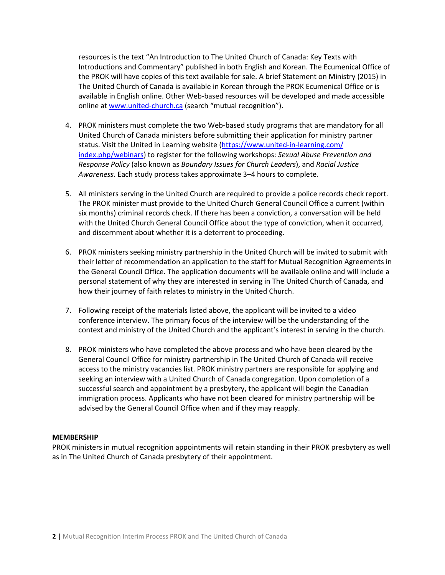resources is the text "An Introduction to The United Church of Canada: Key Texts with Introductions and Commentary" published in both English and Korean. The Ecumenical Office of the PROK will have copies of this text available for sale. A brief Statement on Ministry (2015) in The United Church of Canada is available in Korean through the PROK Ecumenical Office or is available in English online. Other Web-based resources will be developed and made accessible online at [www.united-church.ca](http://www.united-church.ca/) (search "mutual recognition").

- 4. PROK ministers must complete the two Web-based study programs that are mandatory for all United Church of Canada ministers before submitting their application for ministry partner status. Visit the United in Learning website [\(https://www.united-in-learning.com/](https://www.united-in-learning.com/index.php/webinars) [index.php/webinars\)](https://www.united-in-learning.com/index.php/webinars) to register for the following workshops: *Sexual Abuse Prevention and Response Policy* (also known as *Boundary Issues for Church Leaders*), and *Racial Justice Awareness*. Each study process takes approximate 3–4 hours to complete.
- 5. All ministers serving in the United Church are required to provide a police records check report. The PROK minister must provide to the United Church General Council Office a current (within six months) criminal records check. If there has been a conviction, a conversation will be held with the United Church General Council Office about the type of conviction, when it occurred, and discernment about whether it is a deterrent to proceeding.
- 6. PROK ministers seeking ministry partnership in the United Church will be invited to submit with their letter of recommendation an application to the staff for Mutual Recognition Agreements in the General Council Office. The application documents will be available online and will include a personal statement of why they are interested in serving in The United Church of Canada, and how their journey of faith relates to ministry in the United Church.
- 7. Following receipt of the materials listed above, the applicant will be invited to a video conference interview. The primary focus of the interview will be the understanding of the context and ministry of the United Church and the applicant's interest in serving in the church.
- 8. PROK ministers who have completed the above process and who have been cleared by the General Council Office for ministry partnership in The United Church of Canada will receive access to the ministry vacancies list. PROK ministry partners are responsible for applying and seeking an interview with a United Church of Canada congregation. Upon completion of a successful search and appointment by a presbytery, the applicant will begin the Canadian immigration process. Applicants who have not been cleared for ministry partnership will be advised by the General Council Office when and if they may reapply.

## **MEMBERSHIP**

PROK ministers in mutual recognition appointments will retain standing in their PROK presbytery as well as in The United Church of Canada presbytery of their appointment.